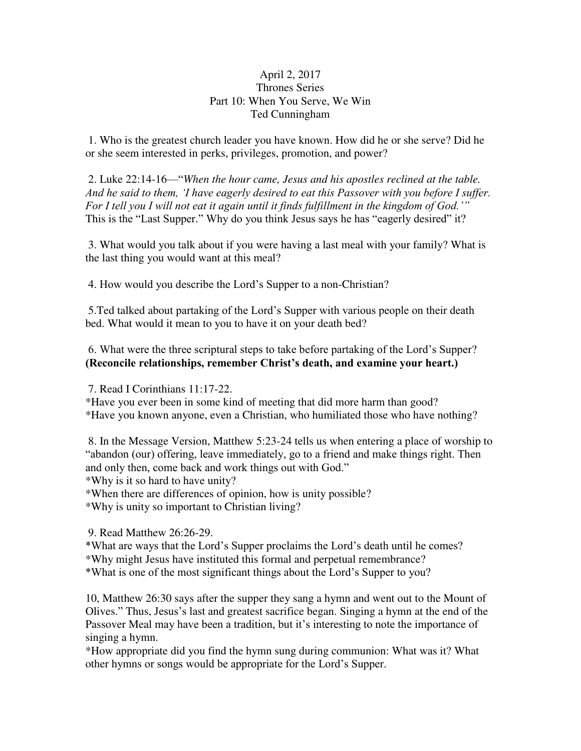## April 2, 2017 Thrones Series Part 10: When You Serve, We Win Ted Cunningham

 1. Who is the greatest church leader you have known. How did he or she serve? Did he or she seem interested in perks, privileges, promotion, and power?

 2. Luke 22:14-16—"*When the hour came, Jesus and his apostles reclined at the table. And he said to them, 'I have eagerly desired to eat this Passover with you before I suffer. For I tell you I will not eat it again until it finds fulfillment in the kingdom of God.'"*  This is the "Last Supper." Why do you think Jesus says he has "eagerly desired" it?

 3. What would you talk about if you were having a last meal with your family? What is the last thing you would want at this meal?

4. How would you describe the Lord's Supper to a non-Christian?

 5.Ted talked about partaking of the Lord's Supper with various people on their death bed. What would it mean to you to have it on your death bed?

6. What were the three scriptural steps to take before partaking of the Lord's Supper? **(Reconcile relationships, remember Christ's death, and examine your heart.)** 

7. Read I Corinthians 11:17-22.

\*Have you ever been in some kind of meeting that did more harm than good? \*Have you known anyone, even a Christian, who humiliated those who have nothing?

 8. In the Message Version, Matthew 5:23-24 tells us when entering a place of worship to "abandon (our) offering, leave immediately, go to a friend and make things right. Then and only then, come back and work things out with God."

\*Why is it so hard to have unity?

\*When there are differences of opinion, how is unity possible?

\*Why is unity so important to Christian living?

9. Read Matthew 26:26-29.

\*What are ways that the Lord's Supper proclaims the Lord's death until he comes? \*Why might Jesus have instituted this formal and perpetual remembrance? \*What is one of the most significant things about the Lord's Supper to you?

10, Matthew 26:30 says after the supper they sang a hymn and went out to the Mount of Olives." Thus, Jesus's last and greatest sacrifice began. Singing a hymn at the end of the Passover Meal may have been a tradition, but it's interesting to note the importance of singing a hymn.

\*How appropriate did you find the hymn sung during communion: What was it? What other hymns or songs would be appropriate for the Lord's Supper.